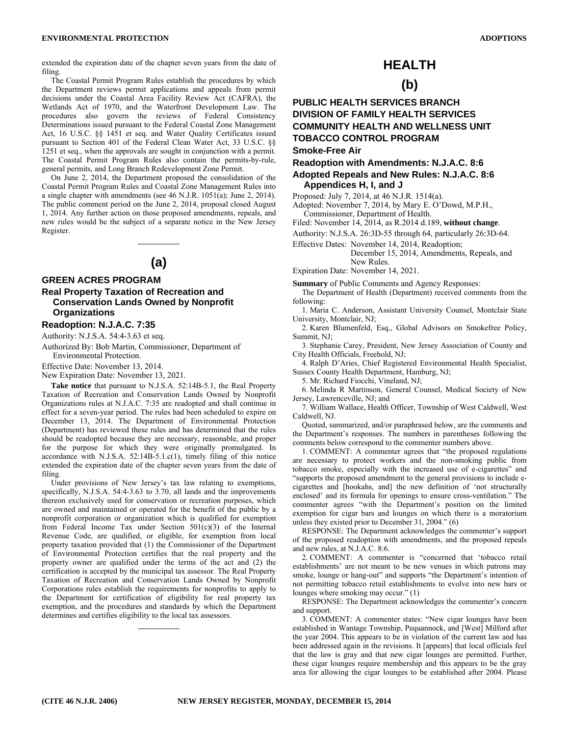extended the expiration date of the chapter seven years from the date of filing.

The Coastal Permit Program Rules establish the procedures by which the Department reviews permit applications and appeals from permit decisions under the Coastal Area Facility Review Act (CAFRA), the Wetlands Act of 1970, and the Waterfront Development Law. The procedures also govern the reviews of Federal Consistency Determinations issued pursuant to the Federal Coastal Zone Management Act, 16 U.S.C. §§ 1451 et seq. and Water Quality Certificates issued pursuant to Section 401 of the Federal Clean Water Act, 33 U.S.C. §§ 1251 et seq., when the approvals are sought in conjunction with a permit. The Coastal Permit Program Rules also contain the permits-by-rule, general permits, and Long Branch Redevelopment Zone Permit.

On June 2, 2014, the Department proposed the consolidation of the Coastal Permit Program Rules and Coastal Zone Management Rules into a single chapter with amendments (see 46 N.J.R. 1051(a); June 2, 2014). The public comment period on the June 2, 2014, proposal closed August 1, 2014. Any further action on those proposed amendments, repeals, and new rules would be the subject of a separate notice in the New Jersey Register.

# **(a)**

\_\_\_\_\_\_\_\_\_\_

### **GREEN ACRES PROGRAM**

### **Real Property Taxation of Recreation and Conservation Lands Owned by Nonprofit Organizations**

### **Readoption: N.J.A.C. 7:35**

Authority: N.J.S.A. 54:4-3.63 et seq.

Authorized By: Bob Martin, Commissioner, Department of Environmental Protection.

Effective Date: November 13, 2014.

New Expiration Date: November 13, 2021.

**Take notice** that pursuant to N.J.S.A. 52:14B-5.1, the Real Property Taxation of Recreation and Conservation Lands Owned by Nonprofit Organizations rules at N.J.A.C. 7:35 are readopted and shall continue in effect for a seven-year period. The rules had been scheduled to expire on December 13, 2014. The Department of Environmental Protection (Department) has reviewed these rules and has determined that the rules should be readopted because they are necessary, reasonable, and proper for the purpose for which they were originally promulgated. In accordance with N.J.S.A. 52:14B-5.1.c(1), timely filing of this notice extended the expiration date of the chapter seven years from the date of filing.

Under provisions of New Jersey's tax law relating to exemptions, specifically, N.J.S.A. 54:4-3.63 to 3.70, all lands and the improvements thereon exclusively used for conservation or recreation purposes, which are owned and maintained or operated for the benefit of the public by a nonprofit corporation or organization which is qualified for exemption from Federal Income Tax under Section 501(c)(3) of the Internal Revenue Code, are qualified, or eligible, for exemption from local property taxation provided that (1) the Commissioner of the Department of Environmental Protection certifies that the real property and the property owner are qualified under the terms of the act and (2) the certification is accepted by the municipal tax assessor. The Real Property Taxation of Recreation and Conservation Lands Owned by Nonprofit Corporations rules establish the requirements for nonprofits to apply to the Department for certification of eligibility for real property tax exemption, and the procedures and standards by which the Department determines and certifies eligibility to the local tax assessors.

\_\_\_\_\_\_\_\_\_\_

# **HEALTH**

# **(b)**

# **PUBLIC HEALTH SERVICES BRANCH DIVISION OF FAMILY HEALTH SERVICES COMMUNITY HEALTH AND WELLNESS UNIT TOBACCO CONTROL PROGRAM**

### **Smoke-Free Air**

**Readoption with Amendments: N.J.A.C. 8:6** 

**Adopted Repeals and New Rules: N.J.A.C. 8:6 Appendices H, I, and J** 

Proposed: July 7, 2014, at 46 N.J.R. 1514(a).

Adopted: November 7, 2014, by Mary E. O'Dowd, M.P.H., Commissioner, Department of Health.

Filed: November 14, 2014, as R.2014 d.189, **without change**.

Authority: N.J.S.A. 26:3D-55 through 64, particularly 26:3D-64.

Effective Dates: November 14, 2014, Readoption;

December 15, 2014, Amendments, Repeals, and

New Rules. Expiration Date: November 14, 2021.

**Summary** of Public Comments and Agency Responses:

The Department of Health (Department) received comments from the following:

1. Maria C. Anderson, Assistant University Counsel, Montclair State University, Montclair, NJ;

2. Karen Blumenfeld, Esq., Global Advisors on Smokefree Policy, Summit, NJ;

3. Stephanie Carey, President, New Jersey Association of County and City Health Officials, Freehold, NJ;

4. Ralph D'Aries, Chief Registered Environmental Health Specialist, Sussex County Health Department, Hamburg, NJ;

5. Mr. Richard Fiocchi, Vineland, NJ;

6. Melinda R Martinson, General Counsel, Medical Society of New Jersey, Lawrenceville, NJ; and

7. William Wallace, Health Officer, Township of West Caldwell, West Caldwell, NJ.

Quoted, summarized, and/or paraphrased below, are the comments and the Department's responses. The numbers in parentheses following the comments below correspond to the commenter numbers above.

1. COMMENT: A commenter agrees that "the proposed regulations are necessary to protect workers and the non-smoking public from tobacco smoke, especially with the increased use of e-cigarettes" and "supports the proposed amendment to the general provisions to include ecigarettes and [hookahs, and] the new definition of 'not structurally enclosed' and its formula for openings to ensure cross-ventilation." The commenter agrees "with the Department's position on the limited exemption for cigar bars and lounges on which there is a moratorium unless they existed prior to December 31, 2004." (6)

RESPONSE: The Department acknowledges the commenter's support of the proposed readoption with amendments, and the proposed repeals and new rules, at N.J.A.C. 8:6.

2. COMMENT: A commenter is "concerned that 'tobacco retail establishments' are not meant to be new venues in which patrons may smoke, lounge or hang-out" and supports "the Department's intention of not permitting tobacco retail establishments to evolve into new bars or lounges where smoking may occur." (1)

RESPONSE: The Department acknowledges the commenter's concern and support.

3. COMMENT: A commenter states: "New cigar lounges have been established in Wantage Township, Pequannock, and [West] Milford after the year 2004. This appears to be in violation of the current law and has been addressed again in the revisions. It [appears] that local officials feel that the law is gray and that new cigar lounges are permitted. Further, these cigar lounges require membership and this appears to be the gray area for allowing the cigar lounges to be established after 2004. Please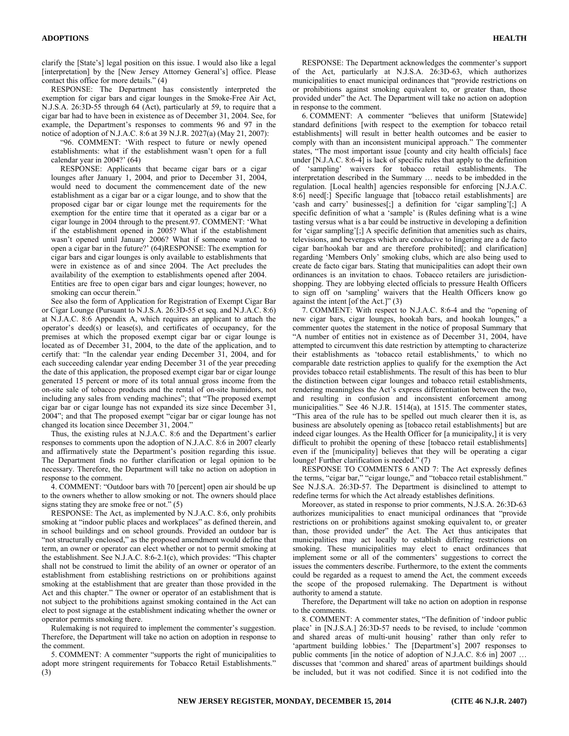clarify the [State's] legal position on this issue. I would also like a legal [interpretation] by the [New Jersey Attorney General's] office. Please contact this office for more details." (4)

RESPONSE: The Department has consistently interpreted the exemption for cigar bars and cigar lounges in the Smoke-Free Air Act, N.J.S.A. 26:3D-55 through 64 (Act), particularly at 59, to require that a cigar bar had to have been in existence as of December 31, 2004. See, for example, the Department's responses to comments 96 and 97 in the notice of adoption of N.J.A.C. 8:6 at 39 N.J.R. 2027(a) (May 21, 2007):

"96. COMMENT: 'With respect to future or newly opened establishments: what if the establishment wasn't open for a full calendar year in 2004?' (64)

RESPONSE: Applicants that became cigar bars or a cigar lounges after January 1, 2004, and prior to December 31, 2004, would need to document the commencement date of the new establishment as a cigar bar or a cigar lounge, and to show that the proposed cigar bar or cigar lounge met the requirements for the exemption for the entire time that it operated as a cigar bar or a cigar lounge in 2004 through to the present.97. COMMENT: 'What if the establishment opened in 2005? What if the establishment wasn't opened until January 2006? What if someone wanted to open a cigar bar in the future?' (64)RESPONSE: The exemption for cigar bars and cigar lounges is only available to establishments that were in existence as of and since 2004. The Act precludes the availability of the exemption to establishments opened after 2004. Entities are free to open cigar bars and cigar lounges; however, no smoking can occur therein."

See also the form of Application for Registration of Exempt Cigar Bar or Cigar Lounge (Pursuant to N.J.S.A. 26:3D-55 et seq. and N.J.A.C. 8:6) at N.J.A.C. 8:6 Appendix A, which requires an applicant to attach the operator's deed(s) or lease(s), and certificates of occupancy, for the premises at which the proposed exempt cigar bar or cigar lounge is located as of December 31, 2004, to the date of the application, and to certify that: "In the calendar year ending December 31, 2004, and for each succeeding calendar year ending December 31 of the year preceding the date of this application, the proposed exempt cigar bar or cigar lounge generated 15 percent or more of its total annual gross income from the on-site sale of tobacco products and the rental of on-site humidors, not including any sales from vending machines"; that "The proposed exempt cigar bar or cigar lounge has not expanded its size since December 31, 2004"; and that The proposed exempt "cigar bar or cigar lounge has not changed its location since December 31, 2004."

Thus, the existing rules at N.J.A.C. 8:6 and the Department's earlier responses to comments upon the adoption of N.J.A.C. 8:6 in 2007 clearly and affirmatively state the Department's position regarding this issue. The Department finds no further clarification or legal opinion to be necessary. Therefore, the Department will take no action on adoption in response to the comment.

4. COMMENT: "Outdoor bars with 70 [percent] open air should be up to the owners whether to allow smoking or not. The owners should place signs stating they are smoke free or not." (5)

RESPONSE: The Act, as implemented by N.J.A.C. 8:6, only prohibits smoking at "indoor public places and workplaces" as defined therein, and in school buildings and on school grounds. Provided an outdoor bar is "not structurally enclosed," as the proposed amendment would define that term, an owner or operator can elect whether or not to permit smoking at the establishment. See N.J.A.C. 8:6-2.1(c), which provides: "This chapter shall not be construed to limit the ability of an owner or operator of an establishment from establishing restrictions on or prohibitions against smoking at the establishment that are greater than those provided in the Act and this chapter." The owner or operator of an establishment that is not subject to the prohibitions against smoking contained in the Act can elect to post signage at the establishment indicating whether the owner or operator permits smoking there.

Rulemaking is not required to implement the commenter's suggestion. Therefore, the Department will take no action on adoption in response to the comment.

5. COMMENT: A commenter "supports the right of municipalities to adopt more stringent requirements for Tobacco Retail Establishments." (3)

RESPONSE: The Department acknowledges the commenter's support of the Act, particularly at N.J.S.A. 26:3D-63, which authorizes municipalities to enact municipal ordinances that "provide restrictions on or prohibitions against smoking equivalent to, or greater than, those provided under" the Act. The Department will take no action on adoption in response to the comment.

6. COMMENT: A commenter "believes that uniform [Statewide] standard definitions [with respect to the exemption for tobacco retail establishments] will result in better health outcomes and be easier to comply with than an inconsistent municipal approach." The commenter states, "The most important issue [county and city health officials] face under [N.J.A.C. 8:6-4] is lack of specific rules that apply to the definition of 'sampling' waivers for tobacco retail establishments. The interpretation described in the Summary … needs to be imbedded in the regulation. [Local health] agencies responsible for enforcing [N.J.A.C. 8:6] need[:] Specific language that [tobacco retail establishments] are 'cash and carry' businesses[;] a definition for 'cigar sampling'[;] A specific definition of what a 'sample' is (Rules defining what is a wine tasting versus what is a bar could be instructive in developing a definition for 'cigar sampling'[;] A specific definition that amenities such as chairs, televisions, and beverages which are conducive to lingering are a de facto cigar bar/hookah bar and are therefore prohibited[; and clarification] regarding 'Members Only' smoking clubs, which are also being used to create de facto cigar bars. Stating that municipalities can adopt their own ordinances is an invitation to chaos. Tobacco retailers are jurisdictionshopping. They are lobbying elected officials to pressure Health Officers to sign off on 'sampling' waivers that the Health Officers know go against the intent [of the Act.]" (3)

7. COMMENT: With respect to N.J.A.C. 8:6-4 and the "opening of new cigar bars, cigar lounges, hookah bars, and hookah lounges," a commenter quotes the statement in the notice of proposal Summary that "A number of entities not in existence as of December 31, 2004, have attempted to circumvent this date restriction by attempting to characterize their establishments as 'tobacco retail establishments,' to which no comparable date restriction applies to qualify for the exemption the Act provides tobacco retail establishments. The result of this has been to blur the distinction between cigar lounges and tobacco retail establishments, rendering meaningless the Act's express differentiation between the two, and resulting in confusion and inconsistent enforcement among municipalities." See 46 N.J.R. 1514(a), at 1515. The commenter states, "This area of the rule has to be spelled out much clearer then it is, as business are absolutely opening as [tobacco retail establishments] but are indeed cigar lounges. As the Health Officer for [a municipality,] it is very difficult to prohibit the opening of these [tobacco retail establishments] even if the [municipality] believes that they will be operating a cigar lounge! Further clarification is needed." (7)

RESPONSE TO COMMENTS 6 AND 7: The Act expressly defines the terms, "cigar bar," "cigar lounge," and "tobacco retail establishment." See N.J.S.A. 26:3D-57. The Department is disinclined to attempt to redefine terms for which the Act already establishes definitions.

Moreover, as stated in response to prior comments, N.J.S.A. 26:3D-63 authorizes municipalities to enact municipal ordinances that "provide restrictions on or prohibitions against smoking equivalent to, or greater than, those provided under" the Act. The Act thus anticipates that municipalities may act locally to establish differing restrictions on smoking. These municipalities may elect to enact ordinances that implement some or all of the commenters' suggestions to correct the issues the commenters describe. Furthermore, to the extent the comments could be regarded as a request to amend the Act, the comment exceeds the scope of the proposed rulemaking. The Department is without authority to amend a statute.

Therefore, the Department will take no action on adoption in response to the comments.

8. COMMENT: A commenter states, "The definition of 'indoor public place' in [N.J.S.A.] 26:3D-57 needs to be revised, to include 'common and shared areas of multi-unit housing' rather than only refer to 'apartment building lobbies.' The [Department's] 2007 responses to public comments [in the notice of adoption of N.J.A.C. 8:6 in] 2007 … discusses that 'common and shared' areas of apartment buildings should be included, but it was not codified. Since it is not codified into the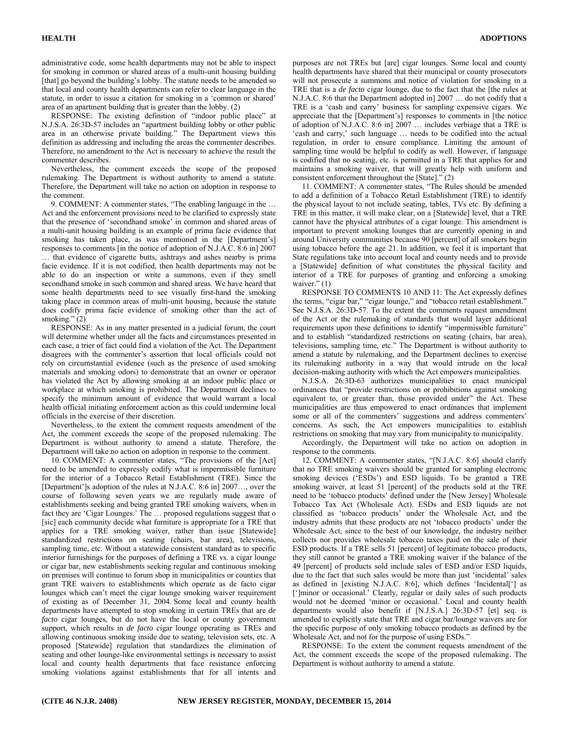administrative code, some health departments may not be able to inspect for smoking in common or shared areas of a multi-unit housing building [that] go beyond the building's lobby. The statute needs to be amended so that local and county health departments can refer to clear language in the statute, in order to issue a citation for smoking in a 'common or shared' area of an apartment building that is greater than the lobby. (2)

RESPONSE: The existing definition of "indoor public place" at N.J.S.A. 26:3D-57 includes an "apartment building lobby or other public area in an otherwise private building." The Department views this definition as addressing and including the areas the commenter describes. Therefore, no amendment to the Act is necessary to achieve the result the commenter describes.

Nevertheless, the comment exceeds the scope of the proposed rulemaking. The Department is without authority to amend a statute. Therefore, the Department will take no action on adoption in response to the comment.

9. COMMENT: A commenter states, "The enabling language in the … Act and the enforcement provisions need to be clarified to expressly state that the presence of 'secondhand smoke' in common and shared areas of a multi-unit housing building is an example of prima facie evidence that smoking has taken place, as was mentioned in the [Department's] responses to comments [in the notice of adoption of N.J.A.C. 8:6 in] 2007 … that evidence of cigarette butts, ashtrays and ashes nearby is prima facie evidence. If it is not codified, then health departments may not be able to do an inspection or write a summons, even if they smell secondhand smoke in such common and shared areas. We have heard that some health departments need to see visually first-hand the smoking taking place in common areas of multi-unit housing, because the statute does codify prima facie evidence of smoking other than the act of smoking." (2)

RESPONSE: As in any matter presented in a judicial forum, the court will determine whether under all the facts and circumstances presented in each case, a trier of fact could find a violation of the Act. The Department disagrees with the commenter's assertion that local officials could not rely on circumstantial evidence (such as the presence of used smoking materials and smoking odors) to demonstrate that an owner or operator has violated the Act by allowing smoking at an indoor public place or workplace at which smoking is prohibited. The Department declines to specify the minimum amount of evidence that would warrant a local health official initiating enforcement action as this could undermine local officials in the exercise of their discretion.

Nevertheless, to the extent the comment requests amendment of the Act, the comment exceeds the scope of the proposed rulemaking. The Department is without authority to amend a statute. Therefore, the Department will take no action on adoption in response to the comment.

10. COMMENT: A commenter states, "The provisions of the [Act] need to be amended to expressly codify what is impermissible furniture for the interior of a Tobacco Retail Establishment (TRE). Since the [Department']s adoption of the rules at N.J.A.C. 8:6 in] 2007…, over the course of following seven years we are regularly made aware of establishments seeking and being granted TRE smoking waivers, when in fact they are 'Cigar Lounges.' The … proposed regulations suggest that o [sic] each community decide what furniture is appropriate for a TRE that applies for a TRE smoking waiver, rather than issue [Statewide] standardized restrictions on seating (chairs, bar area), televisions, sampling time, etc. Without a statewide consistent standard as to specific interior furnishings for the purposes of defining a TRE vs. a cigar lounge or cigar bar, new establishments seeking regular and continuous smoking on premises will continue to forum shop in municipalities or counties that grant TRE waivers to establishments which operate as de facto cigar lounges which can't meet the cigar lounge smoking waiver requirement of existing as of December 31, 2004. Some local and county health departments have attempted to stop smoking in certain TREs that are *de facto* cigar lounges, but do not have the local or county government support, which results in *de facto* cigar lounge operating as TREs and allowing continuous smoking inside due to seating, television sets, etc. A proposed [Statewide] regulation that standardizes the elimination of seating and other lounge-like environmental settings is necessary to assist local and county health departments that face resistance enforcing smoking violations against establishments that for all intents and

purposes are not TREs but [are] cigar lounges. Some local and county health departments have shared that their municipal or county prosecutors will not prosecute a summons and notice of violation for smoking in a TRE that is a *de facto* cigar lounge, due to the fact that the [the rules at N.J.A.C. 8:6 that the Department adopted in] 2007 … do not codify that a TRE is a 'cash and carry' business for sampling expensive cigars. We appreciate that the [Department's] responses to comments in [the notice of adoption of N.J.A.C. 8:6 in] 2007 … includes verbiage that a TRE is 'cash and carry,' such language … needs to be codified into the actual regulation, in order to ensure compliance. Limiting the amount of sampling time would be helpful to codify as well. However, if language is codified that no seating, etc. is permitted in a TRE that applies for and maintains a smoking waiver, that will greatly help with uniform and consistent enforcement throughout the [State]." (2)

11. COMMENT: A commenter states, "The Rules should be amended to add a definition of a Tobacco Retail Establishment (TRE) to identify the physical layout to not include seating, tables, TVs etc. By defining a TRE in this matter, it will make clear, on a [Statewide] level, that a TRE cannot have the physical attributes of a cigar lounge. This amendment is important to prevent smoking lounges that are currently opening in and around University communities because 90 [percent] of all smokers begin using tobacco before the age 21. In addition, we feel it is important that State regulations take into account local and county needs and to provide a [Statewide] definition of what constitutes the physical facility and interior of a TRE for purposes of granting and enforcing a smoking waiver." (1)

RESPONSE TO COMMENTS 10 AND 11: The Act expressly defines the terms, "cigar bar," "cigar lounge," and "tobacco retail establishment." See N.J.S.A. 26:3D-57. To the extent the comments request amendment of the Act or the rulemaking of standards that would layer additional requirements upon these definitions to identify "impermissible furniture" and to establish "standardized restrictions on seating (chairs, bar area), televisions, sampling time, etc." The Department is without authority to amend a statute by rulemaking, and the Department declines to exercise its rulemaking authority in a way that would intrude on the local decision-making authority with which the Act empowers municipalities.

N.J.S.A. 26:3D-63 authorizes municipalities to enact municipal ordinances that "provide restrictions on or prohibitions against smoking equivalent to, or greater than, those provided under" the Act. These municipalities are thus empowered to enact ordinances that implement some or all of the commenters' suggestions and address commenters' concerns. As such, the Act empowers municipalities to establish restrictions on smoking that may vary from municipality to municipality.

Accordingly, the Department will take no action on adoption in response to the comments.

12. COMMENT: A commenter states, "[N.J.A.C. 8:6] should clarify that no TRE smoking waivers should be granted for sampling electronic smoking devices ('ESDs') and ESD liquids. To be granted a TRE smoking waiver, at least 51 [percent] of the products sold at the TRE need to be 'tobacco products' defined under the [New Jersey] Wholesale Tobacco Tax Act (Wholesale Act). ESDs and ESD liquids are not classified as 'tobacco products' under the Wholesale Act, and the industry admits that these products are not 'tobacco products' under the Wholesale Act, since to the best of our knowledge, the industry neither collects nor provides wholesale tobacco taxes paid on the sale of their ESD products. If a TRE sells 51 [percent] of legitimate tobacco products, they still cannot be granted a TRE smoking waiver if the balance of the 49 [percent] of products sold include sales of ESD and/or ESD liquids, due to the fact that such sales would be more than just 'incidental' sales as defined in [existing N.J.A.C. 8:6], which defines 'Incidental['] as [']minor or occasional.' Clearly, regular or daily sales of such products would not be deemed 'minor or occasional.' Local and county health departments would also benefit if [N.J.S.A.] 26:3D-57 [et] seq. is amended to explicitly state that TRE and cigar bar/lounge waivers are for the specific purpose of only smoking tobacco products as defined by the Wholesale Act, and not for the purpose of using ESDs."

RESPONSE: To the extent the comment requests amendment of the Act, the comment exceeds the scope of the proposed rulemaking. The Department is without authority to amend a statute.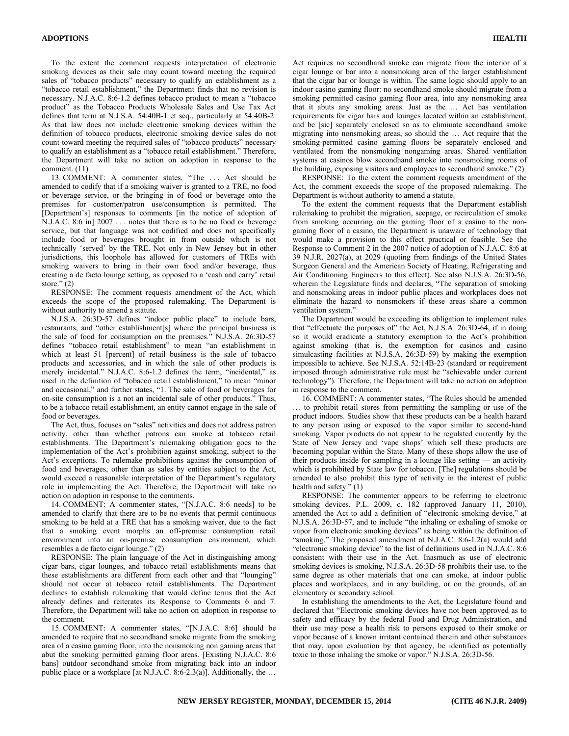To the extent the comment requests interpretation of electronic smoking devices as their sale may count toward meeting the required sales of "tobacco products" necessary to qualify an establishment as a "tobacco retail establishment," the Department finds that no revision is necessary. N.J.A.C. 8:6-1.2 defines tobacco product to mean a "tobacco product" as the Tobacco Products Wholesale Sales and Use Tax Act defines that term at N.J.S.A. 54:40B-1 et seq., particularly at 54:40B-2. As that law does not include electronic smoking devices within the definition of tobacco products, electronic smoking device sales do not count toward meeting the required sales of "tobacco products" necessary to qualify an establishment as a "tobacco retail establishment." Therefore, the Department will take no action on adoption in response to the comment. (11)

13. COMMENT: A commenter states, "The . . . Act should be amended to codify that if a smoking waiver is granted to a TRE, no food or beverage service, or the bringing in of food or beverage onto the premises for customer/patron use/consumption is permitted. The [Department's] responses to comments [in the notice of adoption of N.J.A.C. 8:6 in] 2007 . . . notes that there is to be no food or beverage service, but that language was not codified and does not specifically include food or beverages brought in from outside which is not technically 'served' by the TRE. Not only in New Jersey but in other jurisdictions, this loophole has allowed for customers of TREs with smoking waivers to bring in their own food and/or beverage, thus creating a de facto lounge setting, as opposed to a 'cash and carry' retail store." $(2)$ 

RESPONSE: The comment requests amendment of the Act, which exceeds the scope of the proposed rulemaking. The Department is without authority to amend a statute.

N.J.S.A. 26:3D-57 defines "indoor public place" to include bars, restaurants, and "other establishment[s] where the principal business is the sale of food for consumption on the premises." N.J.S.A. 26:3D-57 defines "tobacco retail establishment" to mean "an establishment in which at least 51 [percent] of retail business is the sale of tobacco products and accessories, and in which the sale of other products is merely incidental." N.J.A.C. 8:6-1.2 defines the term, "incidental," as used in the definition of "tobacco retail establishment," to mean "minor and occasional," and further states, "1. The sale of food or beverages for on-site consumption is a not an incidental sale of other products." Thus, to be a tobacco retail establishment, an entity cannot engage in the sale of food or beverages.

The Act, thus, focuses on "sales" activities and does not address patron activity, other than whether patrons can smoke at tobacco retail establishments. The Department's rulemaking obligation goes to the implementation of the Act's prohibition against smoking, subject to the Act's exceptions. To rulemake prohibitions against the consumption of food and beverages, other than as sales by entities subject to the Act, would exceed a reasonable interpretation of the Department's regulatory role in implementing the Act. Therefore, the Department will take no action on adoption in response to the comments.

14. COMMENT: A commenter states, "[N.J.A.C. 8:6 needs] to be amended to clarify that there are to be no events that permit continuous smoking to be held at a TRE that has a smoking waiver, due to the fact that a smoking event morphs an off-premise consumption retail environment into an on-premise consumption environment, which resembles a de facto cigar lounge." (2)

RESPONSE: The plain language of the Act in distinguishing among cigar bars, cigar lounges, and tobacco retail establishments means that these establishments are different from each other and that "lounging" should not occur at tobacco retail establishments. The Department declines to establish rulemaking that would define terms that the Act already defines and reiterates its Response to Comments 6 and 7. Therefore, the Department will take no action on adoption in response to the comment.

15. COMMENT: A commenter states, "[N.J.A.C. 8:6] should be amended to require that no secondhand smoke migrate from the smoking area of a casino gaming floor, into the nonsmoking non gaming areas that abut the smoking permitted gaming floor areas. [Existing N.J.A.C. 8:6 bans] outdoor secondhand smoke from migrating back into an indoor public place or a workplace [at N.J.A.C. 8:6-2.3(a)]. Additionally, the …

Act requires no secondhand smoke can migrate from the interior of a cigar lounge or bar into a nonsmoking area of the larger establishment that the cigar bar or lounge is within. The same logic should apply to an indoor casino gaming floor: no secondhand smoke should migrate from a smoking permitted casino gaming floor area, into any nonsmoking area that it abuts any smoking areas. Just as the … Act has ventilation requirements for cigar bars and lounges located within an establishment, and be [sic] separately enclosed so as to eliminate secondhand smoke migrating into nonsmoking areas, so should the … Act require that the smoking-permitted casino gaming floors be separately enclosed and ventilated from the nonsmoking nongaming areas. Shared ventilation systems at casinos blow secondhand smoke into nonsmoking rooms of the building, exposing visitors and employees to secondhand smoke." (2)

RESPONSE: To the extent the comment requests amendment of the Act, the comment exceeds the scope of the proposed rulemaking. The Department is without authority to amend a statute.

To the extent the comment requests that the Department establish rulemaking to prohibit the migration, seepage, or recirculation of smoke from smoking occurring on the gaming floor of a casino to the nongaming floor of a casino, the Department is unaware of technology that would make a provision to this effect practical or feasible. See the Response to Comment 2 in the 2007 notice of adoption of N.J.A.C. 8:6 at 39 N.J.R. 2027(a), at 2029 (quoting from findings of the United States Surgeon General and the American Society of Heating, Refrigerating and Air Conditioning Engineers to this effect). See also N.J.S.A. 26:3D-56, wherein the Legislature finds and declares, "The separation of smoking and nonsmoking areas in indoor public places and workplaces does not eliminate the hazard to nonsmokers if these areas share a common ventilation system."

The Department would be exceeding its obligation to implement rules that "effectuate the purposes of" the Act, N.J.S.A. 26:3D-64, if in doing so it would eradicate a statutory exemption to the Act's prohibition against smoking (that is, the exemption for casinos and casino simulcasting facilities at N.J.S.A. 26:3D-59) by making the exemption impossible to achieve. See N.J.S.A. 52:14B-23 (standard or requirement imposed through administrative rule must be "achievable under current technology"). Therefore, the Department will take no action on adoption in response to the comment.

16. COMMENT: A commenter states, "The Rules should be amended … to prohibit retail stores from permitting the sampling or use of the product indoors. Studies show that these products can be a health hazard to any person using or exposed to the vapor similar to second-hand smoking. Vapor products do not appear to be regulated currently by the State of New Jersey and 'vape shops' which sell these products are becoming popular within the State. Many of these shops allow the use of their products inside for sampling in a lounge like setting — an activity which is prohibited by State law for tobacco. [The] regulations should be amended to also prohibit this type of activity in the interest of public health and safety." (1)

RESPONSE: The commenter appears to be referring to electronic smoking devices. P.L. 2009, c. 182 (approved January 11, 2010), amended the Act to add a definition of "electronic smoking device," at N.J.S.A. 26:3D-57, and to include "the inhaling or exhaling of smoke or vapor from electronic smoking devices" as being within the definition of "smoking." The proposed amendment at N.J.A.C. 8:6-1.2(a) would add "electronic smoking device" to the list of definitions used in N.J.A.C. 8:6 consistent with their use in the Act. Inasmuch as use of electronic smoking devices is smoking, N.J.S.A. 26:3D-58 prohibits their use, to the same degree as other materials that one can smoke, at indoor public places and workplaces, and in any building, or on the grounds, of an elementary or secondary school.

In establishing the amendments to the Act, the Legislature found and declared that "Electronic smoking devices have not been approved as to safety and efficacy by the federal Food and Drug Administration, and their use may pose a health risk to persons exposed to their smoke or vapor because of a known irritant contained therein and other substances that may, upon evaluation by that agency, be identified as potentially toxic to those inhaling the smoke or vapor." N.J.S.A. 26:3D-56.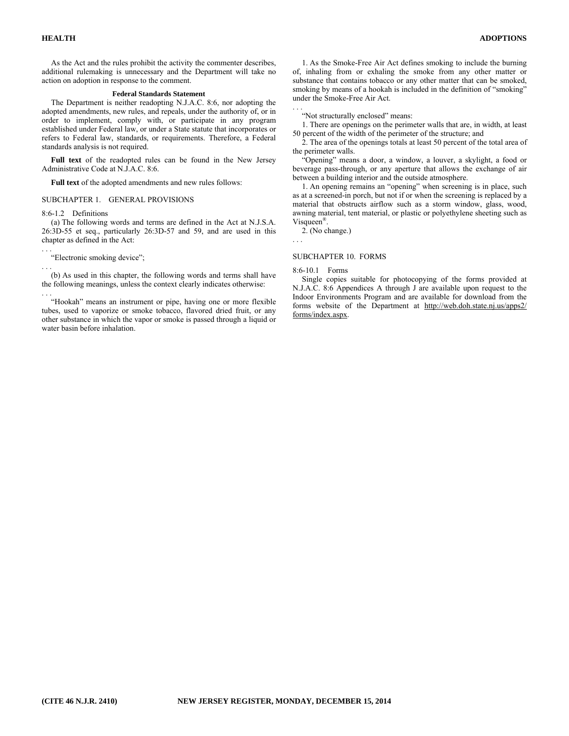As the Act and the rules prohibit the activity the commenter describes, additional rulemaking is unnecessary and the Department will take no action on adoption in response to the comment.

#### **Federal Standards Statement**

The Department is neither readopting N.J.A.C. 8:6, nor adopting the adopted amendments, new rules, and repeals, under the authority of, or in order to implement, comply with, or participate in any program established under Federal law, or under a State statute that incorporates or refers to Federal law, standards, or requirements. Therefore, a Federal standards analysis is not required.

**Full text** of the readopted rules can be found in the New Jersey Administrative Code at N.J.A.C. 8:6.

**Full text** of the adopted amendments and new rules follows:

#### SUBCHAPTER 1. GENERAL PROVISIONS

8:6-1.2 Definitions

(a) The following words and terms are defined in the Act at N.J.S.A. 26:3D-55 et seq., particularly 26:3D-57 and 59, and are used in this chapter as defined in the Act:

. . . "Electronic smoking device";

. . . (b) As used in this chapter, the following words and terms shall have the following meanings, unless the context clearly indicates otherwise: . . .

1. As the Smoke-Free Air Act defines smoking to include the burning of, inhaling from or exhaling the smoke from any other matter or substance that contains tobacco or any other matter that can be smoked, smoking by means of a hookah is included in the definition of "smoking" under the Smoke-Free Air Act.

. . . "Not structurally enclosed" means:

1. There are openings on the perimeter walls that are, in width, at least 50 percent of the width of the perimeter of the structure; and

2. The area of the openings totals at least 50 percent of the total area of the perimeter walls.

"Opening" means a door, a window, a louver, a skylight, a food or beverage pass-through, or any aperture that allows the exchange of air between a building interior and the outside atmosphere.

1. An opening remains an "opening" when screening is in place, such as at a screened-in porch, but not if or when the screening is replaced by a material that obstructs airflow such as a storm window, glass, wood, awning material, tent material, or plastic or polyethylene sheeting such as Visqueen®.

2. (No change.)

#### SUBCHAPTER 10. FORMS

#### 8:6-10.1 Forms

. . .

Single copies suitable for photocopying of the forms provided at N.J.A.C. 8:6 Appendices A through J are available upon request to the Indoor Environments Program and are available for download from the forms website of the Department at http://web.doh.state.nj.us/apps2/ forms/index.aspx.

<sup>&</sup>quot;Hookah" means an instrument or pipe, having one or more flexible tubes, used to vaporize or smoke tobacco, flavored dried fruit, or any other substance in which the vapor or smoke is passed through a liquid or water basin before inhalation.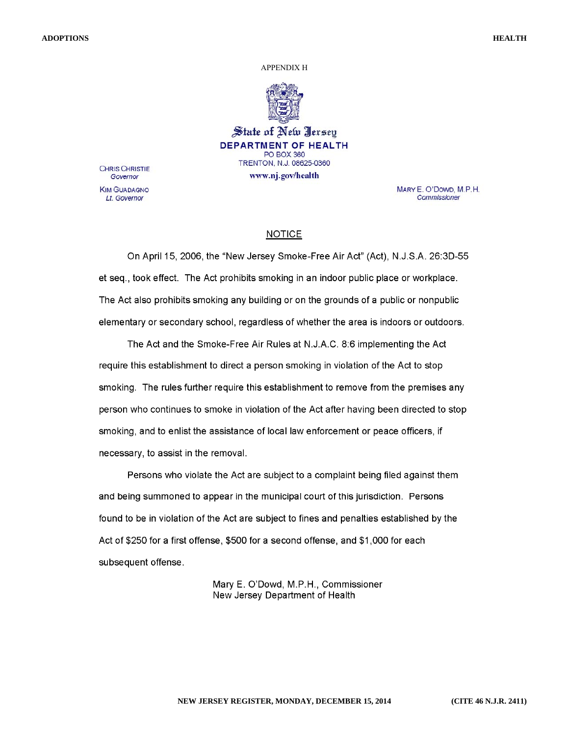#### APPENDIX H



State of New Jersey **DEPARTMENT OF HEALTH PO BOX 360** TRENTON, N.J. 08625-0360 www.nj.gov/health

**CHRIS CHRISTIE** Governor **KIM GUADAGNO** Lt. Governor

MARY E. O'DOWD, M.P.H. Commissioner

### **NOTICE**

On April 15, 2006, the "New Jersey Smoke-Free Air Act" (Act), N.J.S.A. 26:3D-55 et seq., took effect. The Act prohibits smoking in an indoor public place or workplace. The Act also prohibits smoking any building or on the grounds of a public or nonpublic elementary or secondary school, regardless of whether the area is indoors or outdoors.

The Act and the Smoke-Free Air Rules at N.J.A.C. 8:6 implementing the Act require this establishment to direct a person smoking in violation of the Act to stop smoking. The rules further require this establishment to remove from the premises any person who continues to smoke in violation of the Act after having been directed to stop smoking, and to enlist the assistance of local law enforcement or peace officers, if necessary, to assist in the removal.

Persons who violate the Act are subject to a complaint being filed against them and being summoned to appear in the municipal court of this jurisdiction. Persons found to be in violation of the Act are subject to fines and penalties established by the Act of \$250 for a first offense, \$500 for a second offense, and \$1,000 for each subsequent offense.

> Mary E. O'Dowd, M.P.H., Commissioner New Jersey Department of Health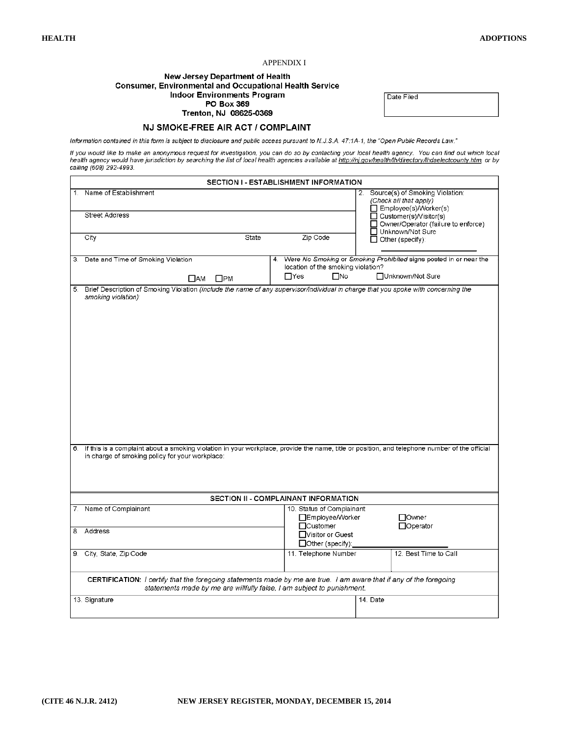#### APPENDIX I

#### **New Jersey Department of Health Consumer, Environmental and Occupational Health Service Indoor Environments Program** PO Box 369

Trenton, NJ 08625-0369 NJ SMOKE-FREE AIR ACT / COMPLAINT Date Filed

Information contained in this form is subject to disclosure and public access pursuant to N.J.S.A. 47:1A-1, the "Open Public Records Law."

lf you would like to make an anonymous request for investigation, you can do so by contacting your local health agency. You can find out which local<br>health agency would have jurisdiction by searching the list of local heal

|         | <b>SECTION I - ESTABLISHMENT INFORMATION</b>                                                                                                                                                     |                                                                                       |                                                                                                                        |  |  |  |
|---------|--------------------------------------------------------------------------------------------------------------------------------------------------------------------------------------------------|---------------------------------------------------------------------------------------|------------------------------------------------------------------------------------------------------------------------|--|--|--|
| $1_{-}$ | Name of Establishment<br>Street Address                                                                                                                                                          |                                                                                       | 2. Source(s) of Smoking Violation:<br>(Check all that apply)<br>Employee(s)/Worker(s)<br>$\Box$ Customer(s)/Visitor(s) |  |  |  |
|         |                                                                                                                                                                                                  |                                                                                       | $\Box$ Owner/Operator (failure to enforce)<br>□ Unknown/Not Sure                                                       |  |  |  |
|         | City<br>State                                                                                                                                                                                    | Zip Code                                                                              | $\Box$ Other (specify):                                                                                                |  |  |  |
|         | 3. Date and Time of Smoking Violation                                                                                                                                                            | location of the smoking violation?                                                    | 4. Were No Smoking or Smoking Prohibited signs posted in or near the                                                   |  |  |  |
|         | $\square$ AM<br>$\square$ PM                                                                                                                                                                     | $\Box$ Yes<br>$\square$ No                                                            | □Unknown/Not Sure                                                                                                      |  |  |  |
| 5.      | Brief Description of Smoking Violation (include the name of any supervisor/individual in charge that you spoke with concerning the<br>smoking violation):                                        |                                                                                       |                                                                                                                        |  |  |  |
| 6.      | If this is a complaint about a smoking violation in your workplace, provide the name, title or position, and telephone number of the official<br>in charge of smoking policy for your workplace: |                                                                                       |                                                                                                                        |  |  |  |
|         |                                                                                                                                                                                                  | SECTION II - COMPLAINANT INFORMATION                                                  |                                                                                                                        |  |  |  |
| 8.      | 7. Name of Complainant<br>Address                                                                                                                                                                | 10. Status of Complainant<br>□Employee/Worker<br>$\Box$ Customer<br>□Visitor or Guest | □Owner<br>□Operator                                                                                                    |  |  |  |
|         |                                                                                                                                                                                                  | □ Other (specify):                                                                    |                                                                                                                        |  |  |  |
|         | 9. City, State, Zip Code                                                                                                                                                                         | 11. Telephone Number                                                                  | 12. Best Time to Call                                                                                                  |  |  |  |
|         | CERTIFICATION: I certify that the foregoing statements made by me are true. I am aware that if any of the foregoing<br>statements made by me are willfully false. I am subject to punishment.    |                                                                                       |                                                                                                                        |  |  |  |
|         | 13. Signature                                                                                                                                                                                    |                                                                                       | 14. Date                                                                                                               |  |  |  |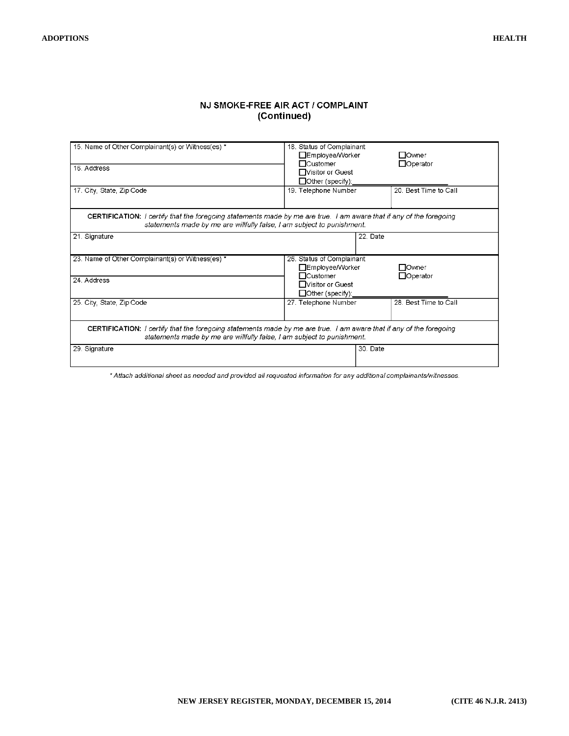## NJ SMOKE-FREE AIR ACT / COMPLAINT (Continued)

| 15. Name of Other Complainant(s) or Witness(es) *<br>16. Address                                                                                                                                                                                                                   | 18. Status of Complainant<br>□Employee/Worker<br>□Owner<br>$\Box$ Customer<br>$\Box$ Operator<br>□ Visitor or Guest<br>$\Box$ Other (specify):         |  |  |  |  |  |
|------------------------------------------------------------------------------------------------------------------------------------------------------------------------------------------------------------------------------------------------------------------------------------|--------------------------------------------------------------------------------------------------------------------------------------------------------|--|--|--|--|--|
| 20. Best Time to Call<br>19. Telephone Number<br>17. City, State, Zip Code<br><b>CERTIFICATION:</b> I certify that the foregoing statements made by me are true. I am aware that if any of the foregoing<br>statements made by me are willfully false, I am subject to punishment. |                                                                                                                                                        |  |  |  |  |  |
| 21. Signature                                                                                                                                                                                                                                                                      | 22. Date                                                                                                                                               |  |  |  |  |  |
| 23. Name of Other Complainant(s) or Witness(es) *<br>24. Address                                                                                                                                                                                                                   | 26. Status of Complainant<br>□Employee/Worker<br><b>□</b> Owner<br>$\Box$ Customer<br>$\Box$ Operator<br>□ Visitor or Guest<br>$\Box$ Other (specify): |  |  |  |  |  |
| 25. City, State, Zip Code                                                                                                                                                                                                                                                          | 28. Best Time to Call<br>27. Telephone Number                                                                                                          |  |  |  |  |  |
| <b>CERTIFICATION:</b> I certify that the foregoing statements made by me are true. I am aware that if any of the foregoing<br>statements made by me are willfully false, I am subject to punishment.                                                                               |                                                                                                                                                        |  |  |  |  |  |
| 29. Signature                                                                                                                                                                                                                                                                      | 30. Date                                                                                                                                               |  |  |  |  |  |

\* Attach additional sheet as needed and provided all requested information for any additional complainants/witnesses.